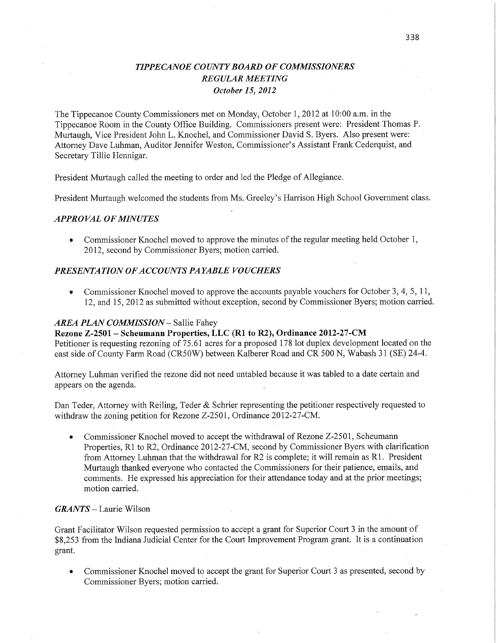# *TIPPECANOE COUNTYBOARD* OF *COMMISSIONERS REGULAR MEETING* ' *October* 15, *2012* '

The Tippecanoe County Commissioners met on Monday, October 1, 2012 at.10:00 am. in the Tippecanoe Room in the County Office Building. **Commissioners** present were: President Thomas P. Murtaugh, Vice President John L. Knochel, and Commissioner David S. *Byers.'* Also present were: Attorney Dave Luhman, Auditor Jennifer Weston, Commissioner's Assistant Frank Cederquist, and Secretary Tillie Hennigar.

President Murtaugh called the meeting to order and led the Pledge of Allegiance.

President Murtaugh welcomed the students from Ms. Greeley's Harrison **High** School Government class.

## *APPRO* VAL OF *MINUTES*

**0** Commissioner Knochel moved to approve the minutes of the regular meeting **held** October 1, 2012, second by Commissioner Byers; motion carried.

## *PRESENTATION* OF *ACCOUNT S PAYABLE VOUCHERS*

**0** Commissioner Knochel moved to approve the accounts payable vouchers for October 3, 4, 5, 11, 12, and 15, 2012 as submitted without exception, second by Commissioner Byers; motion carried.

## *AREA PLAN COMMISSION* **—** Sallie Fahey

**Rezone Z-2501 — Scheumann Properties,** LLC (R1 to **R2), Ordinance 2012-27-CM**  Petitioner is requesting rezoning of **75.61** acres for a proposed 178 lot duplex development located on the

east side of County Farm Road (CRSOW) between Kalberer Road and CR 500 N, Wabash 31 (SE) 24-4.

Attorney **Luhman** verified the rezone did not need untabled because it was tabled to a date certain and appears on the agenda.

Dan Teder, Attorney with Reiling, Teder & Schrier representing the petitioner respectively requested to withdraw the zoning petition for Rezone Z-2501, Ordinance 2012-27-CM.

• Commissioner Knochel moved to accept the withdrawal of Rezone Z-2501, Scheumann Properties, R1 to R2, Ordinance 2012-27-CM, second by Commissioner Byers **with** clarification from Attorney Luhman that the withdrawal for R2 is complete; it will remain as R1. President Murtaugh thanked everyone who contacted the **Commissioners** for their patience, emails, and *.* comments. He expressed his appreciation for their attendance today and at the prior meetings; motion carried.

## *GRANTS* — Laurie Wilson

Grant Facilitator Wilson requested permission to accept a grant for Superior Court 3 in the amount of \$8,253 from the **Indiana** Judicial Center for the Court Improvement Program **grant.** It is a continuation grant. *-* 

• Commissioner Knochel moved to accept the grant for Superior Court 3 as presented, second by Commissioner Byers; motion carried.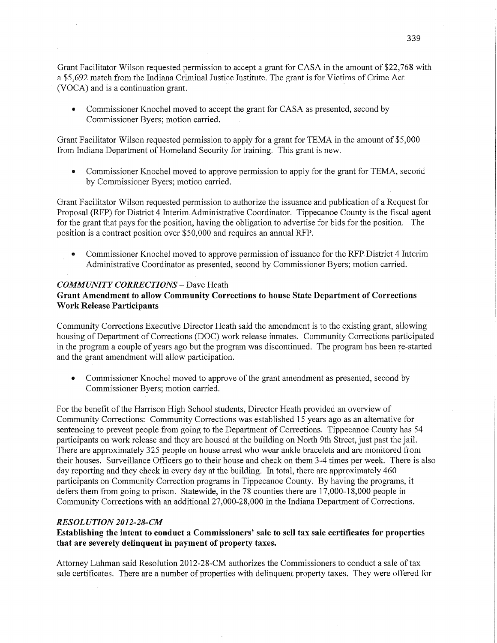Grant Facilitator Wilson requested permission to accept <sup>a</sup>grant for CASA in the amount of \$22,768 with a \$5,692 match from the Indiana Criminal Justice Institute. The grant is for Victims of Crime Act ' (VOCA) and is a continuation grant.

**0** Commissioner Knochel moved to accept the grant for CASA as presented, second by Commissioner Byers; motion carried.

Grant Facilitator Wilson requested permission to apply for <sup>a</sup>grant for TEMA in the amount of \$5,000 from Indiana Department of Homeland Security for training. This grant is new.

**0** Commissioner Knochel moved to approve permission to apply for the grant for TEMA, secofid by Commissioner Byers; motion carried.

Grant Facilitator Wilson requested permission to authorize the issuance and publication of a Request for Proposal (RFP) for District 4 Interim Administrative Coordinator. Tippecanoe County is the fiscal agent for the grant that pays for the position, having the obligation to advertise for bids for the position. The position is a contract position over \$50,000 and requires an annual RFP.

**-** Commissioner Knochel moved to approvg permission of issuance for the RFPDistrict 4 Interim Administrative Coordinator as presented, second by Commissioner Byers; motion carried.

## *COMMUNITY CORRECTIONS* **—** Dave Heath

# **Grant Amendment** to allow Community **Corrections** to house **State Department** of Corrections **Work Release Participants**

Community Corrections Executive Director Heath said the amendment is to the existing grant, allowing housing of Department of Corrections (DOC) work release inmates. Community Corrections participated in the program <sup>a</sup>couple of years ago but the program was discontinued. The program has been re-started and the grant amendment will allow participation.

**0** Commissioner Knochel moved to approve of the grant amendment as presented, second by Commissioner Byers; motion carried.

For the benefit of the Harrison **High** School students, Director Heath provided an overview of Community Corrections: Community Corrections was established 15 years ago as an alternative for sentencing to prevent people from going to the Department of Corrections. Tippecanoe County has 54 participants on work release and they are housed at the building on North 9th Street, just past the jail. There are approximately 325 people on house arrest who wear ankle bracelets and are monitored from their houses. Surveillance **Officers** go to their house and check on them 3-4 times per **week.** There is also day reporting and they check in every day at the building. In total, there are approximately 460 participants on Community Correction programs in Tippecanoe County. By having the programs, it defers them from going to prison. Statewide, in the 78 counties there are 17,000-18,000 people in Community Corrections with an additional 27,000-2 8,000 in the Indiana Department of Corrections.

### *RESOLUTION 2012-28-CM*

**Establishing** the intent to **conduct a Commissioners' sale** to sell tax **sale** certificates for **properties that** are **severely** delinquent in payment of **property taxes.** 

Attorney Luhman said Resolution 2012-28-CM authorizes the Commissioners to conduct a sale of tax sale certificates. There are a number of properties with delinquent property taxes. They were offered for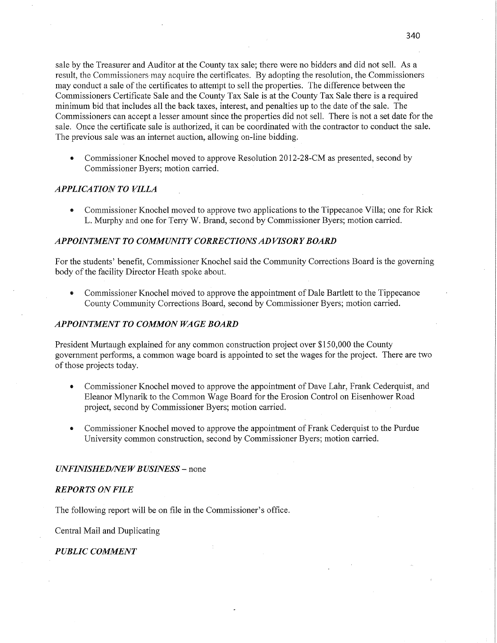sale by the Treasurer and Auditor at the County tax sale; there were no bidders and did not sell. As <sup>a</sup> result, the Commissioners may acquire the certificates. By adopting the resolution, the Commissioners may conduct a sale of the certificates to attempt to sell the properties. The difference between the Commissioners Certificate Sale and the County Tax Sale is at the County Tax Sale there is <sup>a</sup>required minimum bid that includes all the back taxes, interest, and penalties up to the date of the sale. The Commissioners can accept a lesser amount since the properties did not sell. There is not a set date for the sale. Once the certificate sale is authorized, it can be coordinated with the contractor to conduct the sale. The previous sale was an internet auction, allowing on-line bidding.

• Commissioner Knochel moved to approve Resolution 2012-28-CM as presented, second by Commissioner Byers; motion carried.

## *APPLICATION* TO *VILLA*

**0** Commissioner Knochel moved to appfove two applications to the Tippecanoe Villa; one for Rick L. Murphy and one for Terry W. Brand, second by Commissioner Byers; motion carried.

# *APPOINTMENT* T0 *COMMUNITY CORRECTIONS* AD *VISORY BOARD*

For the students' benefit, Commissioner Knochel said the Community Corrections Board is the governing body of the facility Director Heath spoke about.

• Commissioner Knochel moved to approve the appointment of Dale Bartlett to the Tippecanoe County Community Corrections Board, second by Commissioner Byers; motion carried.

#### *APPOINTMENT* T0 *COMMON* WA GE *BOARD*

President Murtaugh explained for any common construction project over \$150,000 the County government performs, <sup>a</sup>common wage board is appointed to set the wages for the project. There are two of those projects today.

- **0** Commissioner Knochel moved to approve the appointment of Dave Lahr, Frank Cederquist, and Eleanor Mlynarik to the Common Wage Board for the Erosion Control on Eisenhower Road project, second by Commissioner Byers; motion carried.
- **0** Commissioner Knochel moved to approve the appointment of Frank Cederquist to the Purdue University common construction, second by Commissioner Byers; motion carried.

#### *UNFINISHED/NEWBUSINESS —* none

#### *REPORTS* ON *FILE*

The following report will be on file in the Commissioner's office.

Central Mail and Duplicating

### *PUBLIC COMMENT*